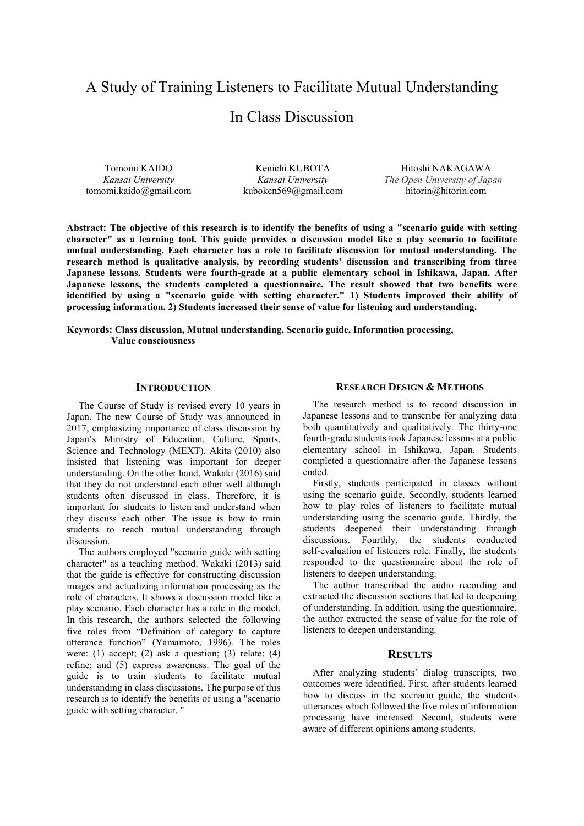# A Study of Training Listeners to Facilitate Mutual Understanding

# In Class Discussion

Tomomi KAIDO *Kansai University* tomomi.kaido@gmail.com

Kenichi KUBOTA *Kansai University* kuboken569@gmail.com

Hitoshi NAKAGAWA *The Open University of Japan* hitorin@hitorin.com

**Abstract: The objective of this research is to identify the benefits of using a "scenario guide with setting character" as a learning tool. This guide provides a discussion model like a play scenario to facilitate mutual understanding. Each character has a role to facilitate discussion for mutual understanding. The research method is qualitative analysis, by recording students' discussion and transcribing from three Japanese lessons. Students were fourth-grade at a public elementary school in Ishikawa, Japan. After Japanese lessons, the students completed a questionnaire. The result showed that two benefits were identified by using a "scenario guide with setting character." 1) Students improved their ability of processing information. 2) Students increased their sense of value for listening and understanding.** 

**Keywords: Class discussion, Mutual understanding, Scenario guide, Information processing, Value consciousness** 

#### **INTRODUCTION**

The Course of Study is revised every 10 years in Japan. The new Course of Study was announced in 2017, emphasizing importance of class discussion by Japan's Ministry of Education, Culture, Sports, Science and Technology (MEXT). Akita (2010) also insisted that listening was important for deeper understanding. On the other hand, Wakaki (2016) said that they do not understand each other well although students often discussed in class. Therefore, it is important for students to listen and understand when they discuss each other. The issue is how to train students to reach mutual understanding through discussion.

The authors employed "scenario guide with setting character" as a teaching method. Wakaki (2013) said that the guide is effective for constructing discussion images and actualizing information processing as the role of characters. It shows a discussion model like a play scenario. Each character has a role in the model. In this research, the authors selected the following five roles from "Definition of category to capture utterance function" (Yamamoto, 1996). The roles were: (1) accept; (2) ask a question; (3) relate; (4) refine; and (5) express awareness. The goal of the guide is to train students to facilitate mutual understanding in class discussions. The purpose of this research is to identify the benefits of using a "scenario guide with setting character. "

### **RESEARCH DESIGN & METHODS**

The research method is to record discussion in Japanese lessons and to transcribe for analyzing data both quantitatively and qualitatively. The thirty-one fourth-grade students took Japanese lessons at a public elementary school in Ishikawa, Japan. Students completed a questionnaire after the Japanese lessons ended.

Firstly, students participated in classes without using the scenario guide. Secondly, students learned how to play roles of listeners to facilitate mutual understanding using the scenario guide. Thirdly, the students deepened their understanding through discussions. Fourthly, the students conducted self-evaluation of listeners role. Finally, the students responded to the questionnaire about the role of listeners to deepen understanding.

The author transcribed the audio recording and extracted the discussion sections that led to deepening of understanding. In addition, using the questionnaire, the author extracted the sense of value for the role of listeners to deepen understanding.

#### **RESULTS**

After analyzing students' dialog transcripts, two outcomes were identified. First, after students learned how to discuss in the scenario guide, the students utterances which followed the five roles of information processing have increased. Second, students were aware of different opinions among students.